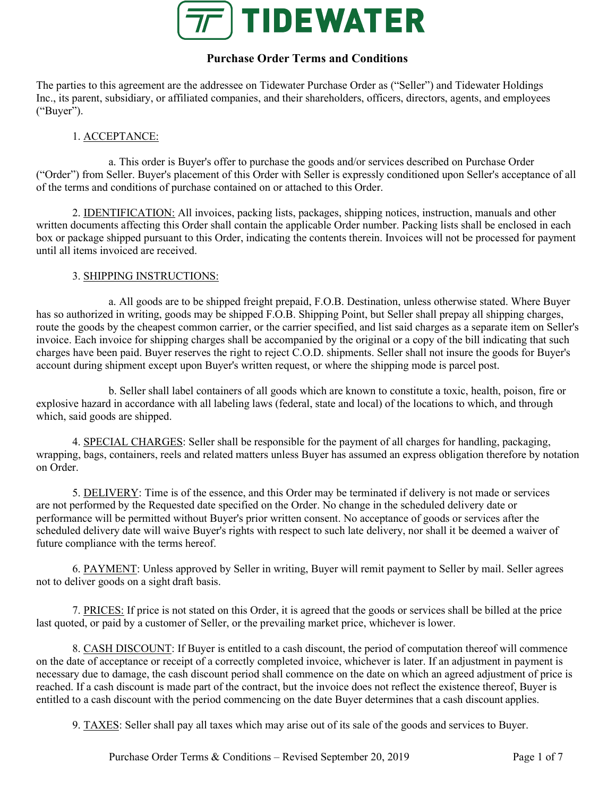

# **Purchase Order Terms and Conditions**

The parties to this agreement are the addressee on Tidewater Purchase Order as ("Seller") and Tidewater Holdings Inc., its parent, subsidiary, or affiliated companies, and their shareholders, officers, directors, agents, and employees ("Buyer").

# 1. ACCEPTANCE:

a. This order is Buyer's offer to purchase the goods and/or services described on Purchase Order ("Order") from Seller. Buyer's placement of this Order with Seller is expressly conditioned upon Seller's acceptance of all of the terms and conditions of purchase contained on or attached to this Order.

2. IDENTIFICATION: All invoices, packing lists, packages, shipping notices, instruction, manuals and other written documents affecting this Order shall contain the applicable Order number. Packing lists shall be enclosed in each box or package shipped pursuant to this Order, indicating the contents therein. Invoices will not be processed for payment until all items invoiced are received.

### 3. SHIPPING INSTRUCTIONS:

a. All goods are to be shipped freight prepaid, F.O.B. Destination, unless otherwise stated. Where Buyer has so authorized in writing, goods may be shipped F.O.B. Shipping Point, but Seller shall prepay all shipping charges, route the goods by the cheapest common carrier, or the carrier specified, and list said charges as a separate item on Seller's invoice. Each invoice for shipping charges shall be accompanied by the original or a copy of the bill indicating that such charges have been paid. Buyer reserves the right to reject C.O.D. shipments. Seller shall not insure the goods for Buyer's account during shipment except upon Buyer's written request, or where the shipping mode is parcel post.

b. Seller shall label containers of all goods which are known to constitute a toxic, health, poison, fire or explosive hazard in accordance with all labeling laws (federal, state and local) of the locations to which, and through which, said goods are shipped.

4. SPECIAL CHARGES: Seller shall be responsible for the payment of all charges for handling, packaging, wrapping, bags, containers, reels and related matters unless Buyer has assumed an express obligation therefore by notation on Order.

5. DELIVERY: Time is of the essence, and this Order may be terminated if delivery is not made or services are not performed by the Requested date specified on the Order. No change in the scheduled delivery date or performance will be permitted without Buyer's prior written consent. No acceptance of goods or services after the scheduled delivery date will waive Buyer's rights with respect to such late delivery, nor shall it be deemed a waiver of future compliance with the terms hereof.

6. PAYMENT: Unless approved by Seller in writing, Buyer will remit payment to Seller by mail. Seller agrees not to deliver goods on a sight draft basis.

7. PRICES: If price is not stated on this Order, it is agreed that the goods or services shall be billed at the price last quoted, or paid by a customer of Seller, or the prevailing market price, whichever is lower.

8. CASH DISCOUNT: If Buyer is entitled to a cash discount, the period of computation thereof will commence on the date of acceptance or receipt of a correctly completed invoice, whichever is later. If an adjustment in payment is necessary due to damage, the cash discount period shall commence on the date on which an agreed adjustment of price is reached. If a cash discount is made part of the contract, but the invoice does not reflect the existence thereof, Buyer is entitled to a cash discount with the period commencing on the date Buyer determines that a cash discount applies.

9. TAXES: Seller shall pay all taxes which may arise out of its sale of the goods and services to Buyer.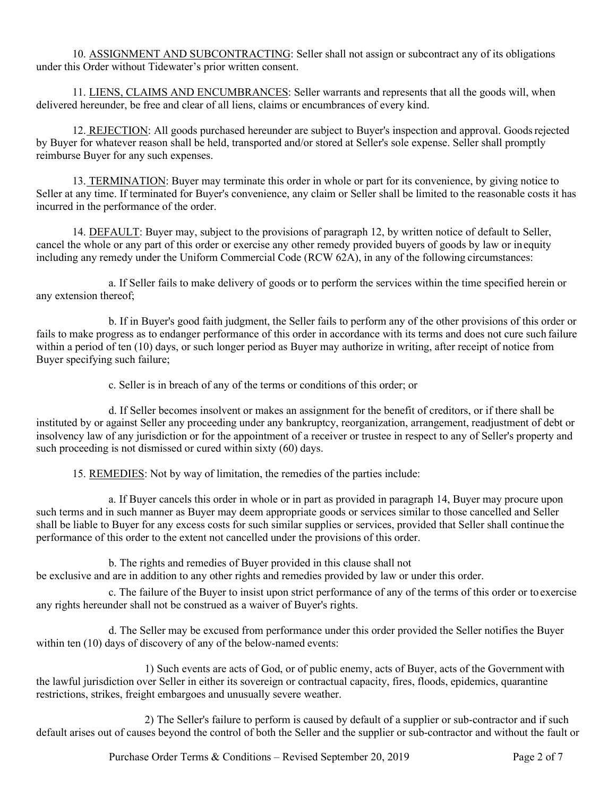10. ASSIGNMENT AND SUBCONTRACTING: Seller shall not assign or subcontract any of its obligations under this Order without Tidewater's prior written consent.

11. LIENS, CLAIMS AND ENCUMBRANCES: Seller warrants and represents that all the goods will, when delivered hereunder, be free and clear of all liens, claims or encumbrances of every kind.

12. REJECTION: All goods purchased hereunder are subject to Buyer's inspection and approval. Goods rejected by Buyer for whatever reason shall be held, transported and/or stored at Seller's sole expense. Seller shall promptly reimburse Buyer for any such expenses.

13. TERMINATION: Buyer may terminate this order in whole or part for its convenience, by giving notice to Seller at any time. If terminated for Buyer's convenience, any claim or Seller shall be limited to the reasonable costs it has incurred in the performance of the order.

14. DEFAULT: Buyer may, subject to the provisions of paragraph 12, by written notice of default to Seller, cancel the whole or any part of this order or exercise any other remedy provided buyers of goods by law or in equity including any remedy under the Uniform Commercial Code (RCW 62A), in any of the following circumstances:

a. If Seller fails to make delivery of goods or to perform the services within the time specified herein or any extension thereof;

b. If in Buyer's good faith judgment, the Seller fails to perform any of the other provisions of this order or fails to make progress as to endanger performance of this order in accordance with its terms and does not cure such failure within a period of ten (10) days, or such longer period as Buyer may authorize in writing, after receipt of notice from Buyer specifying such failure;

c. Seller is in breach of any of the terms or conditions of this order; or

d. If Seller becomes insolvent or makes an assignment for the benefit of creditors, or if there shall be instituted by or against Seller any proceeding under any bankruptcy, reorganization, arrangement, readjustment of debt or insolvency law of any jurisdiction or for the appointment of a receiver or trustee in respect to any of Seller's property and such proceeding is not dismissed or cured within sixty (60) days.

15. REMEDIES: Not by way of limitation, the remedies of the parties include:

a. If Buyer cancels this order in whole or in part as provided in paragraph 14, Buyer may procure upon such terms and in such manner as Buyer may deem appropriate goods or services similar to those cancelled and Seller shall be liable to Buyer for any excess costs for such similar supplies or services, provided that Seller shall continue the performance of this order to the extent not cancelled under the provisions of this order.

b. The rights and remedies of Buyer provided in this clause shall not be exclusive and are in addition to any other rights and remedies provided by law or under this order.

c. The failure of the Buyer to insist upon strict performance of any of the terms of this order or to exercise any rights hereunder shall not be construed as a waiver of Buyer's rights.

d. The Seller may be excused from performance under this order provided the Seller notifies the Buyer within ten (10) days of discovery of any of the below-named events:

1) Such events are acts of God, or of public enemy, acts of Buyer, acts of the Government with the lawful jurisdiction over Seller in either its sovereign or contractual capacity, fires, floods, epidemics, quarantine restrictions, strikes, freight embargoes and unusually severe weather.

2) The Seller's failure to perform is caused by default of a supplier or sub-contractor and if such default arises out of causes beyond the control of both the Seller and the supplier or sub-contractor and without the fault or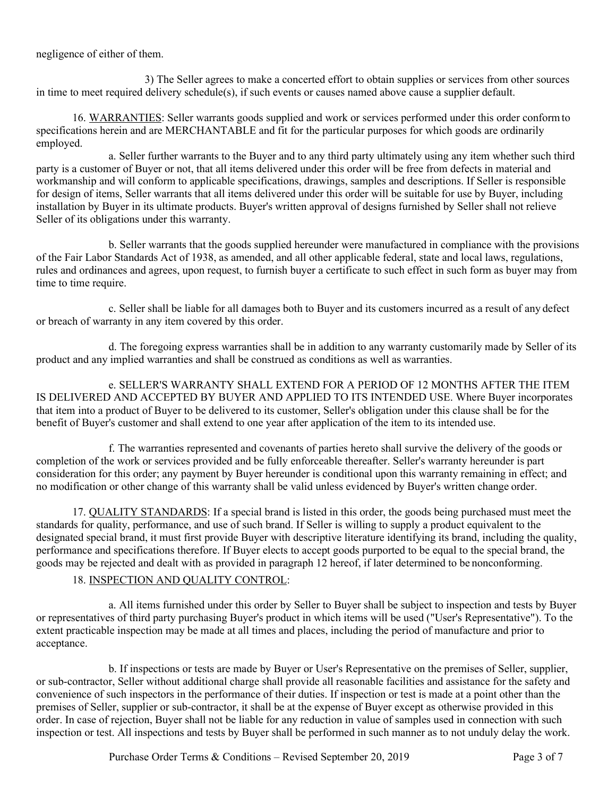negligence of either of them.

3) The Seller agrees to make a concerted effort to obtain supplies or services from other sources in time to meet required delivery schedule(s), if such events or causes named above cause a supplier default.

16. WARRANTIES: Seller warrants goods supplied and work or services performed under this order conformto specifications herein and are MERCHANTABLE and fit for the particular purposes for which goods are ordinarily employed.

a. Seller further warrants to the Buyer and to any third party ultimately using any item whether such third party is a customer of Buyer or not, that all items delivered under this order will be free from defects in material and workmanship and will conform to applicable specifications, drawings, samples and descriptions. If Seller is responsible for design of items, Seller warrants that all items delivered under this order will be suitable for use by Buyer, including installation by Buyer in its ultimate products. Buyer's written approval of designs furnished by Seller shall not relieve Seller of its obligations under this warranty.

b. Seller warrants that the goods supplied hereunder were manufactured in compliance with the provisions of the Fair Labor Standards Act of 1938, as amended, and all other applicable federal, state and local laws, regulations, rules and ordinances and agrees, upon request, to furnish buyer a certificate to such effect in such form as buyer may from time to time require.

c. Seller shall be liable for all damages both to Buyer and its customers incurred as a result of any defect or breach of warranty in any item covered by this order.

d. The foregoing express warranties shall be in addition to any warranty customarily made by Seller of its product and any implied warranties and shall be construed as conditions as well as warranties.

e. SELLER'S WARRANTY SHALL EXTEND FOR A PERIOD OF 12 MONTHS AFTER THE ITEM IS DELIVERED AND ACCEPTED BY BUYER AND APPLIED TO ITS INTENDED USE. Where Buyer incorporates that item into a product of Buyer to be delivered to its customer, Seller's obligation under this clause shall be for the benefit of Buyer's customer and shall extend to one year after application of the item to its intended use.

f. The warranties represented and covenants of parties hereto shall survive the delivery of the goods or completion of the work or services provided and be fully enforceable thereafter. Seller's warranty hereunder is part consideration for this order; any payment by Buyer hereunder is conditional upon this warranty remaining in effect; and no modification or other change of this warranty shall be valid unless evidenced by Buyer's written change order.

17. QUALITY STANDARDS: If a special brand is listed in this order, the goods being purchased must meet the standards for quality, performance, and use of such brand. If Seller is willing to supply a product equivalent to the designated special brand, it must first provide Buyer with descriptive literature identifying its brand, including the quality, performance and specifications therefore. If Buyer elects to accept goods purported to be equal to the special brand, the goods may be rejected and dealt with as provided in paragraph 12 hereof, if later determined to be nonconforming.

# 18. INSPECTION AND QUALITY CONTROL:

a. All items furnished under this order by Seller to Buyer shall be subject to inspection and tests by Buyer or representatives of third party purchasing Buyer's product in which items will be used ("User's Representative"). To the extent practicable inspection may be made at all times and places, including the period of manufacture and prior to acceptance.

b. If inspections or tests are made by Buyer or User's Representative on the premises of Seller, supplier, or sub-contractor, Seller without additional charge shall provide all reasonable facilities and assistance for the safety and convenience of such inspectors in the performance of their duties. If inspection or test is made at a point other than the premises of Seller, supplier or sub-contractor, it shall be at the expense of Buyer except as otherwise provided in this order. In case of rejection, Buyer shall not be liable for any reduction in value of samples used in connection with such inspection or test. All inspections and tests by Buyer shall be performed in such manner as to not unduly delay the work.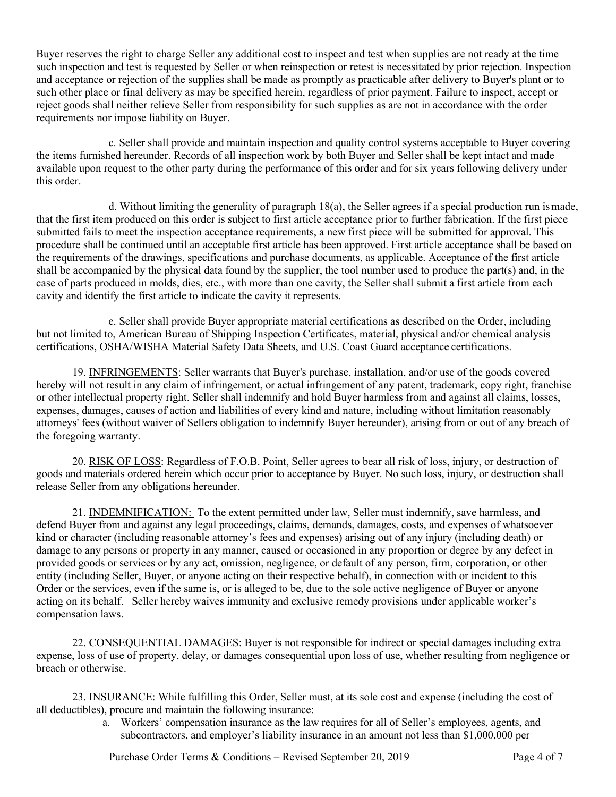Buyer reserves the right to charge Seller any additional cost to inspect and test when supplies are not ready at the time such inspection and test is requested by Seller or when reinspection or retest is necessitated by prior rejection. Inspection and acceptance or rejection of the supplies shall be made as promptly as practicable after delivery to Buyer's plant or to such other place or final delivery as may be specified herein, regardless of prior payment. Failure to inspect, accept or reject goods shall neither relieve Seller from responsibility for such supplies as are not in accordance with the order requirements nor impose liability on Buyer.

c. Seller shall provide and maintain inspection and quality control systems acceptable to Buyer covering the items furnished hereunder. Records of all inspection work by both Buyer and Seller shall be kept intact and made available upon request to the other party during the performance of this order and for six years following delivery under this order.

d. Without limiting the generality of paragraph  $18(a)$ , the Seller agrees if a special production run ismade, that the first item produced on this order is subject to first article acceptance prior to further fabrication. If the first piece submitted fails to meet the inspection acceptance requirements, a new first piece will be submitted for approval. This procedure shall be continued until an acceptable first article has been approved. First article acceptance shall be based on the requirements of the drawings, specifications and purchase documents, as applicable. Acceptance of the first article shall be accompanied by the physical data found by the supplier, the tool number used to produce the part(s) and, in the case of parts produced in molds, dies, etc., with more than one cavity, the Seller shall submit a first article from each cavity and identify the first article to indicate the cavity it represents.

e. Seller shall provide Buyer appropriate material certifications as described on the Order, including but not limited to, American Bureau of Shipping Inspection Certificates, material, physical and/or chemical analysis certifications, OSHA/WISHA Material Safety Data Sheets, and U.S. Coast Guard acceptance certifications.

19. INFRINGEMENTS: Seller warrants that Buyer's purchase, installation, and/or use of the goods covered hereby will not result in any claim of infringement, or actual infringement of any patent, trademark, copy right, franchise or other intellectual property right. Seller shall indemnify and hold Buyer harmless from and against all claims, losses, expenses, damages, causes of action and liabilities of every kind and nature, including without limitation reasonably attorneys' fees (without waiver of Sellers obligation to indemnify Buyer hereunder), arising from or out of any breach of the foregoing warranty.

20. RISK OF LOSS: Regardless of F.O.B. Point, Seller agrees to bear all risk of loss, injury, or destruction of goods and materials ordered herein which occur prior to acceptance by Buyer. No such loss, injury, or destruction shall release Seller from any obligations hereunder.

21. INDEMNIFICATION: To the extent permitted under law, Seller must indemnify, save harmless, and defend Buyer from and against any legal proceedings, claims, demands, damages, costs, and expenses of whatsoever kind or character (including reasonable attorney's fees and expenses) arising out of any injury (including death) or damage to any persons or property in any manner, caused or occasioned in any proportion or degree by any defect in provided goods or services or by any act, omission, negligence, or default of any person, firm, corporation, or other entity (including Seller, Buyer, or anyone acting on their respective behalf), in connection with or incident to this Order or the services, even if the same is, or is alleged to be, due to the sole active negligence of Buyer or anyone acting on its behalf. Seller hereby waives immunity and exclusive remedy provisions under applicable worker's compensation laws.

22. CONSEQUENTIAL DAMAGES: Buyer is not responsible for indirect or special damages including extra expense, loss of use of property, delay, or damages consequential upon loss of use, whether resulting from negligence or breach or otherwise.

23. INSURANCE: While fulfilling this Order, Seller must, at its sole cost and expense (including the cost of all deductibles), procure and maintain the following insurance:

> a. Workers' compensation insurance as the law requires for all of Seller's employees, agents, and subcontractors, and employer's liability insurance in an amount not less than \$1,000,000 per

Purchase Order Terms & Conditions – Revised September 20, 2019 Page 4 of 7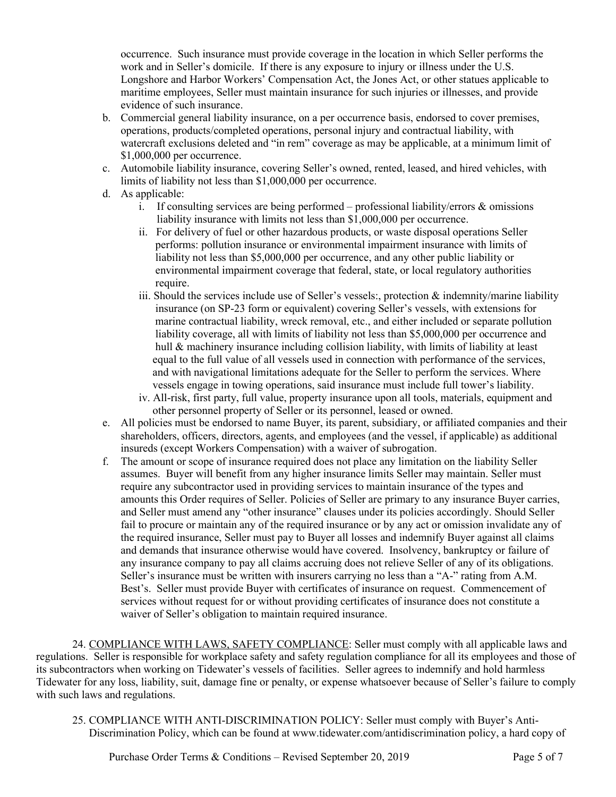occurrence. Such insurance must provide coverage in the location in which Seller performs the work and in Seller's domicile. If there is any exposure to injury or illness under the U.S. Longshore and Harbor Workers' Compensation Act, the Jones Act, or other statues applicable to maritime employees, Seller must maintain insurance for such injuries or illnesses, and provide evidence of such insurance.

- b. Commercial general liability insurance, on a per occurrence basis, endorsed to cover premises, operations, products/completed operations, personal injury and contractual liability, with watercraft exclusions deleted and "in rem" coverage as may be applicable, at a minimum limit of \$1,000,000 per occurrence.
- c. Automobile liability insurance, covering Seller's owned, rented, leased, and hired vehicles, with limits of liability not less than \$1,000,000 per occurrence.
- d. As applicable:
	- i. If consulting services are being performed professional liability/errors  $\&$  omissions liability insurance with limits not less than \$1,000,000 per occurrence.
	- ii. For delivery of fuel or other hazardous products, or waste disposal operations Seller performs: pollution insurance or environmental impairment insurance with limits of liability not less than \$5,000,000 per occurrence, and any other public liability or environmental impairment coverage that federal, state, or local regulatory authorities require.
	- iii. Should the services include use of Seller's vessels:, protection  $\&$  indemnity/marine liability insurance (on SP-23 form or equivalent) covering Seller's vessels, with extensions for marine contractual liability, wreck removal, etc., and either included or separate pollution liability coverage, all with limits of liability not less than \$5,000,000 per occurrence and hull & machinery insurance including collision liability, with limits of liability at least equal to the full value of all vessels used in connection with performance of the services, and with navigational limitations adequate for the Seller to perform the services. Where vessels engage in towing operations, said insurance must include full tower's liability.
	- iv. All-risk, first party, full value, property insurance upon all tools, materials, equipment and other personnel property of Seller or its personnel, leased or owned.
- e. All policies must be endorsed to name Buyer, its parent, subsidiary, or affiliated companies and their shareholders, officers, directors, agents, and employees (and the vessel, if applicable) as additional insureds (except Workers Compensation) with a waiver of subrogation.
- f. The amount or scope of insurance required does not place any limitation on the liability Seller assumes. Buyer will benefit from any higher insurance limits Seller may maintain. Seller must require any subcontractor used in providing services to maintain insurance of the types and amounts this Order requires of Seller. Policies of Seller are primary to any insurance Buyer carries, and Seller must amend any "other insurance" clauses under its policies accordingly. Should Seller fail to procure or maintain any of the required insurance or by any act or omission invalidate any of the required insurance, Seller must pay to Buyer all losses and indemnify Buyer against all claims and demands that insurance otherwise would have covered. Insolvency, bankruptcy or failure of any insurance company to pay all claims accruing does not relieve Seller of any of its obligations. Seller's insurance must be written with insurers carrying no less than a "A-" rating from A.M. Best's. Seller must provide Buyer with certificates of insurance on request. Commencement of services without request for or without providing certificates of insurance does not constitute a waiver of Seller's obligation to maintain required insurance.

24. COMPLIANCE WITH LAWS, SAFETY COMPLIANCE: Seller must comply with all applicable laws and regulations. Seller is responsible for workplace safety and safety regulation compliance for all its employees and those of its subcontractors when working on Tidewater's vessels of facilities. Seller agrees to indemnify and hold harmless Tidewater for any loss, liability, suit, damage fine or penalty, or expense whatsoever because of Seller's failure to comply with such laws and regulations.

25. COMPLIANCE WITH ANTI-DISCRIMINATION POLICY: Seller must comply with Buyer's Anti-Discrimination Policy, which can be found at www.tidewater.com/antidiscrimination policy, a hard copy of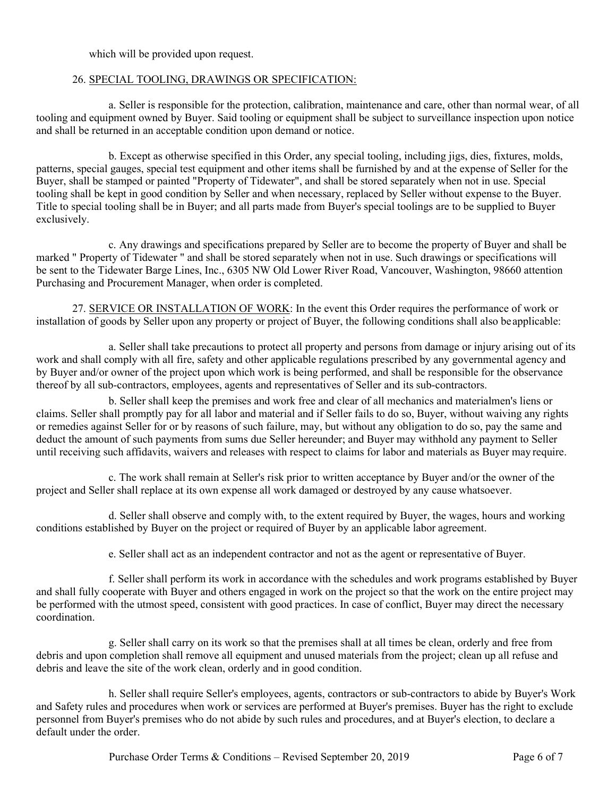which will be provided upon request.

#### 26. SPECIAL TOOLING, DRAWINGS OR SPECIFICATION:

a. Seller is responsible for the protection, calibration, maintenance and care, other than normal wear, of all tooling and equipment owned by Buyer. Said tooling or equipment shall be subject to surveillance inspection upon notice and shall be returned in an acceptable condition upon demand or notice.

b. Except as otherwise specified in this Order, any special tooling, including jigs, dies, fixtures, molds, patterns, special gauges, special test equipment and other items shall be furnished by and at the expense of Seller for the Buyer, shall be stamped or painted "Property of Tidewater", and shall be stored separately when not in use. Special tooling shall be kept in good condition by Seller and when necessary, replaced by Seller without expense to the Buyer. Title to special tooling shall be in Buyer; and all parts made from Buyer's special toolings are to be supplied to Buyer exclusively.

c. Any drawings and specifications prepared by Seller are to become the property of Buyer and shall be marked " Property of Tidewater " and shall be stored separately when not in use. Such drawings or specifications will be sent to the Tidewater Barge Lines, Inc., 6305 NW Old Lower River Road, Vancouver, Washington, 98660 attention Purchasing and Procurement Manager, when order is completed.

27. SERVICE OR INSTALLATION OF WORK: In the event this Order requires the performance of work or installation of goods by Seller upon any property or project of Buyer, the following conditions shall also beapplicable:

a. Seller shall take precautions to protect all property and persons from damage or injury arising out of its work and shall comply with all fire, safety and other applicable regulations prescribed by any governmental agency and by Buyer and/or owner of the project upon which work is being performed, and shall be responsible for the observance thereof by all sub-contractors, employees, agents and representatives of Seller and its sub-contractors.

b. Seller shall keep the premises and work free and clear of all mechanics and materialmen's liens or claims. Seller shall promptly pay for all labor and material and if Seller fails to do so, Buyer, without waiving any rights or remedies against Seller for or by reasons of such failure, may, but without any obligation to do so, pay the same and deduct the amount of such payments from sums due Seller hereunder; and Buyer may withhold any payment to Seller until receiving such affidavits, waivers and releases with respect to claims for labor and materials as Buyer may require.

c. The work shall remain at Seller's risk prior to written acceptance by Buyer and/or the owner of the project and Seller shall replace at its own expense all work damaged or destroyed by any cause whatsoever.

d. Seller shall observe and comply with, to the extent required by Buyer, the wages, hours and working conditions established by Buyer on the project or required of Buyer by an applicable labor agreement.

e. Seller shall act as an independent contractor and not as the agent or representative of Buyer.

f. Seller shall perform its work in accordance with the schedules and work programs established by Buyer and shall fully cooperate with Buyer and others engaged in work on the project so that the work on the entire project may be performed with the utmost speed, consistent with good practices. In case of conflict, Buyer may direct the necessary coordination.

g. Seller shall carry on its work so that the premises shall at all times be clean, orderly and free from debris and upon completion shall remove all equipment and unused materials from the project; clean up all refuse and debris and leave the site of the work clean, orderly and in good condition.

h. Seller shall require Seller's employees, agents, contractors or sub-contractors to abide by Buyer's Work and Safety rules and procedures when work or services are performed at Buyer's premises. Buyer has the right to exclude personnel from Buyer's premises who do not abide by such rules and procedures, and at Buyer's election, to declare a default under the order.

Purchase Order Terms & Conditions – Revised September 20, 2019 Page 6 of 7